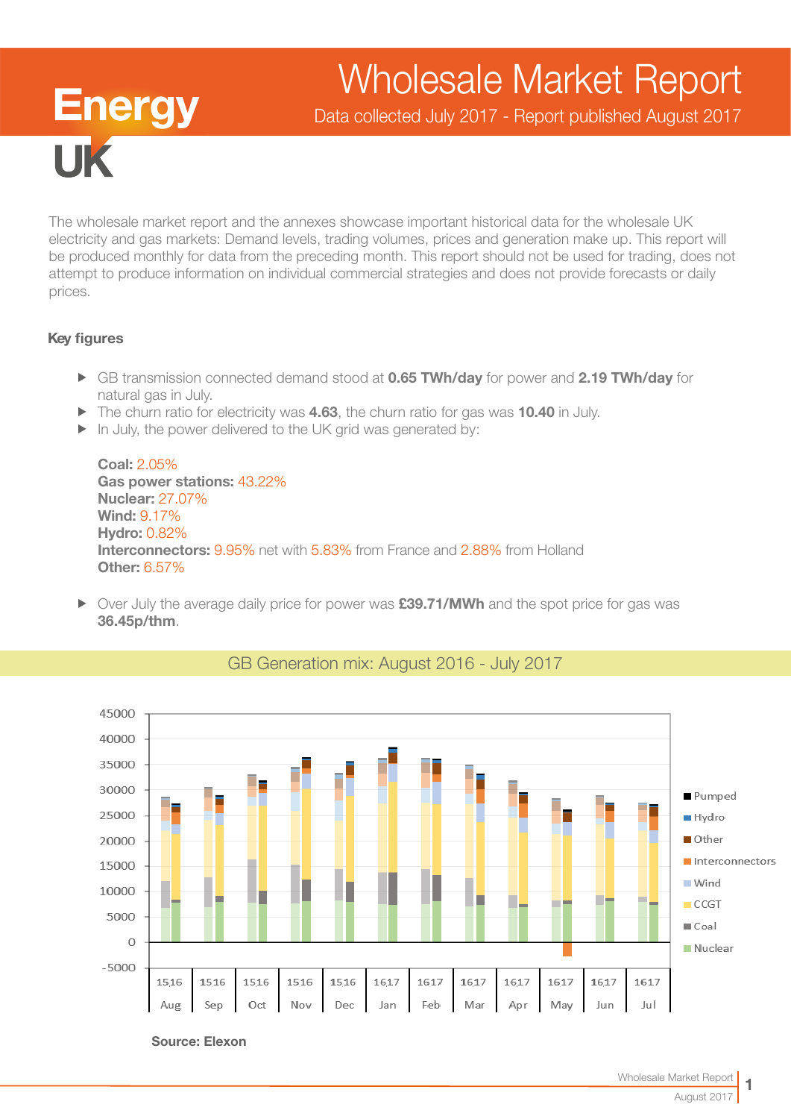# Wholesale Market Report

Data collected July 2017 - Report published August 2017

The wholesale market report and the annexes showcase important historical data for the wholesale UK electricity and gas markets: Demand levels, trading volumes, prices and generation make up. This report will be produced monthly for data from the preceding month. This report should not be used for trading, does not attempt to produce information on individual commercial strategies and does not provide forecasts or daily prices.

### Key figures

**IIK** 

**Energy** 

- ► GB transmission connected demand stood at 0.65 TWh/day for power and 2.19 TWh/day for natural gas in July.
- $\blacktriangleright$  The churn ratio for electricity was 4.63, the churn ratio for gas was 10.40 in July.
- $\blacktriangleright$  In July, the power delivered to the UK grid was generated by:

Coal: 2.05% Gas power stations: 43.22% Nuclear: 27.07% Wind: 9.17% Hydro: 0.82% Interconnectors: 9.95% net with 5.83% from France and 2.88% from Holland Other: 6.57%

 $\triangleright$  Over July the average daily price for power was  $£39.71/MWh$  and the spot price for gas was 36.45p/thm.



## GB Generation mix: August 2016 - July 2017

Source: Elexon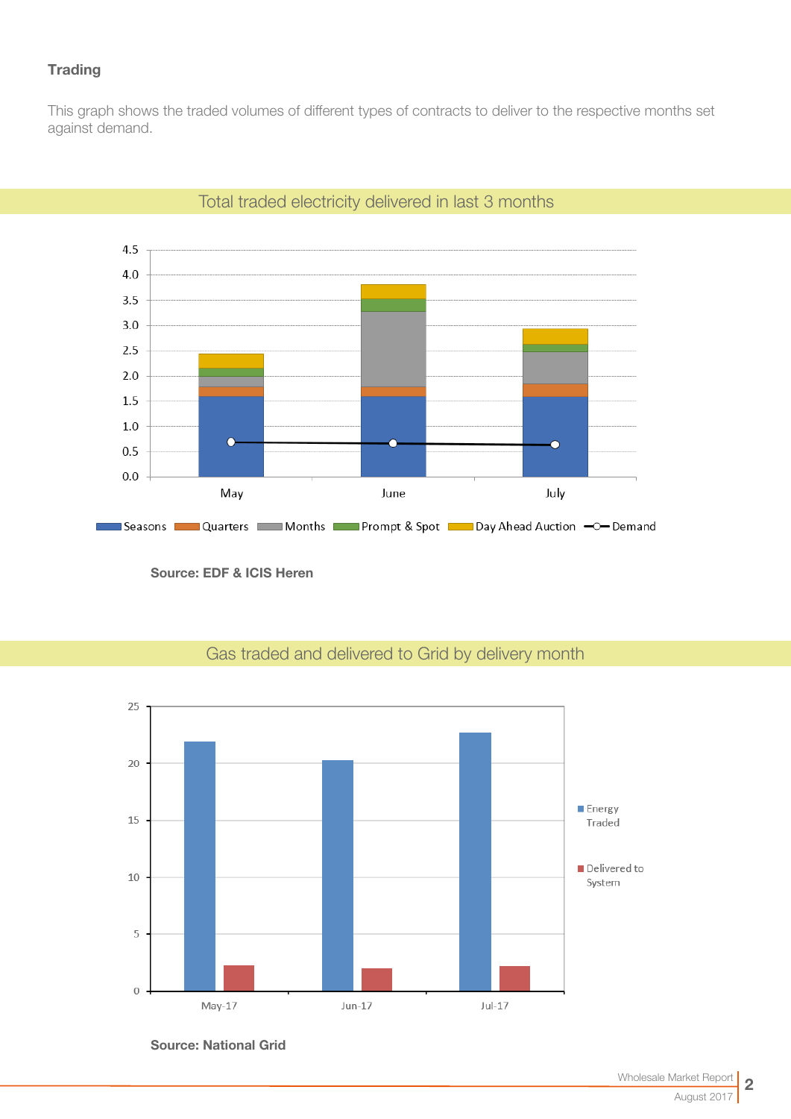## **Trading**

This graph shows the traded volumes of different types of contracts to deliver to the respective months set against demand.



## Total traded electricity delivered in last 3 months

Source: EDF & ICIS Heren



## Gas traded and delivered to Grid by delivery month

Source: National Grid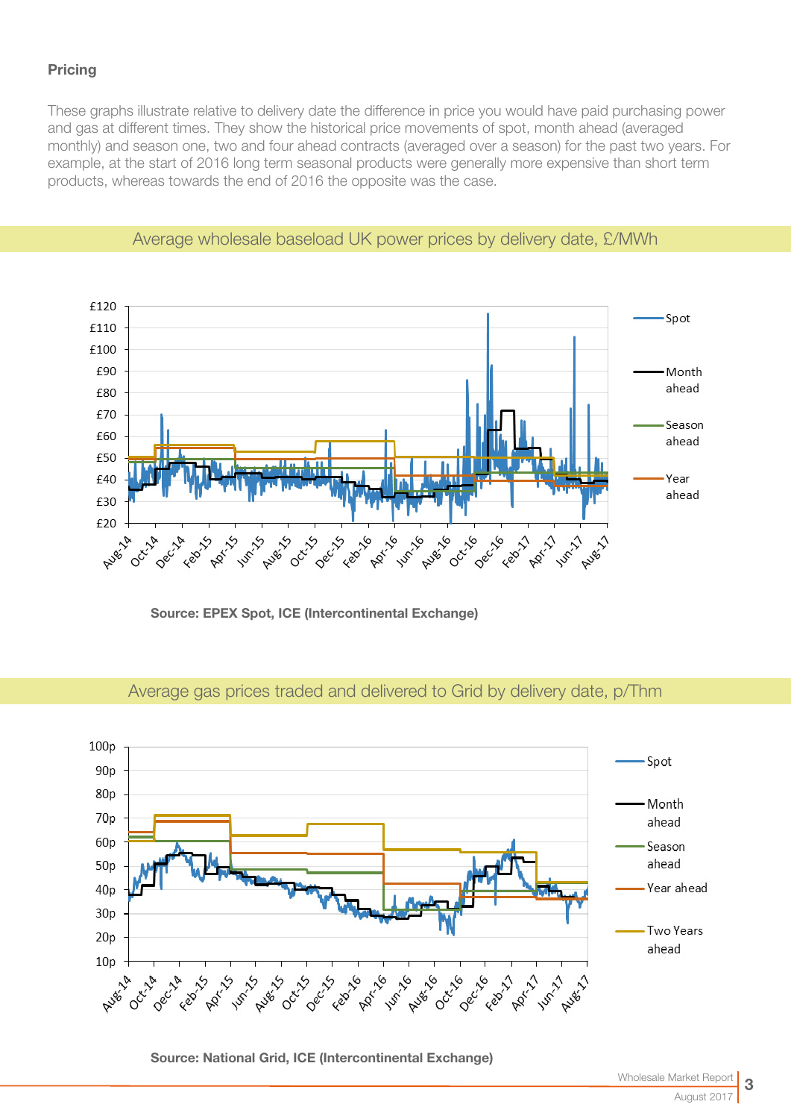## **Pricing**

These graphs illustrate relative to delivery date the difference in price you would have paid purchasing power and gas at different times. They show the historical price movements of spot, month ahead (averaged monthly) and season one, two and four ahead contracts (averaged over a season) for the past two years. For example, at the start of 2016 long term seasonal products were generally more expensive than short term products, whereas towards the end of 2016 the opposite was the case.



## Average wholesale baseload UK power prices by delivery date, £/MWh

Source: EPEX Spot, ICE (Intercontinental Exchange)

#### $100p$ Spot  $90<sub>p</sub>$  $80<sub>D</sub>$ Month 70<sub>p</sub> ahead 60<sub>p</sub> Season ahead  $50p$ Year ahead  $40p$  $30p$ **Two Years**  $20p$ ahead  $10<sub>p</sub>$ **PROT** 16 **Pump Augs** C **6-21-6-0 Dec-16** Febr<sub>12</sub> **ARY-11** Oct-14 Dec-14 Augs 15 **PROVIS August Feb** 15 **14m-15 Augé 14**

## Average gas prices traded and delivered to Grid by delivery date, p/Thm

Source: National Grid, ICE (Intercontinental Exchange)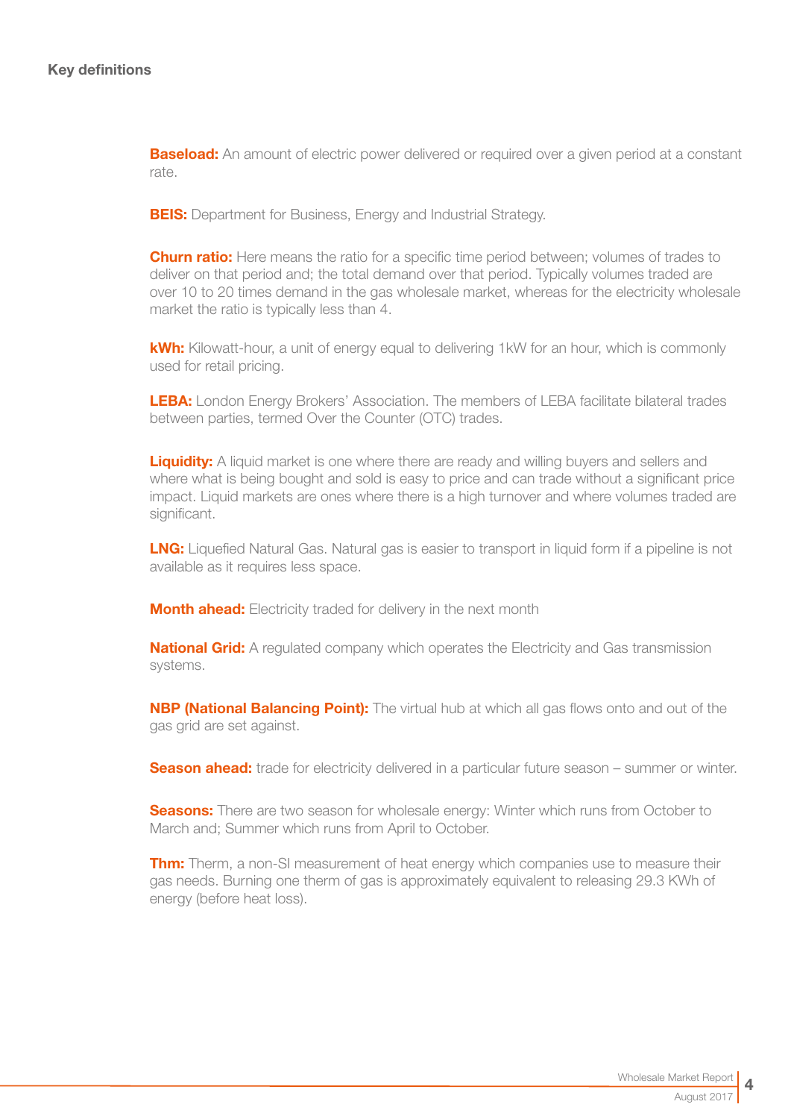**Baseload:** An amount of electric power delivered or required over a given period at a constant rate.

**BEIS:** Department for Business, Energy and Industrial Strategy.

**Churn ratio:** Here means the ratio for a specific time period between; volumes of trades to deliver on that period and; the total demand over that period. Typically volumes traded are over 10 to 20 times demand in the gas wholesale market, whereas for the electricity wholesale market the ratio is typically less than 4.

kWh: Kilowatt-hour, a unit of energy equal to delivering 1kW for an hour, which is commonly used for retail pricing.

LEBA: London Energy Brokers' Association. The members of LEBA facilitate bilateral trades between parties, termed Over the Counter (OTC) trades.

**Liquidity:** A liquid market is one where there are ready and willing buyers and sellers and where what is being bought and sold is easy to price and can trade without a significant price impact. Liquid markets are ones where there is a high turnover and where volumes traded are significant.

**LNG:** Liquefied Natural Gas. Natural gas is easier to transport in liquid form if a pipeline is not available as it requires less space.

**Month ahead:** Electricity traded for delivery in the next month

**National Grid:** A regulated company which operates the Electricity and Gas transmission systems.

**NBP (National Balancing Point):** The virtual hub at which all gas flows onto and out of the gas grid are set against.

**Season ahead:** trade for electricity delivered in a particular future season – summer or winter.

**Seasons:** There are two season for wholesale energy: Winter which runs from October to March and; Summer which runs from April to October.

**Thm:** Therm, a non-SI measurement of heat energy which companies use to measure their gas needs. Burning one therm of gas is approximately equivalent to releasing 29.3 KWh of energy (before heat loss).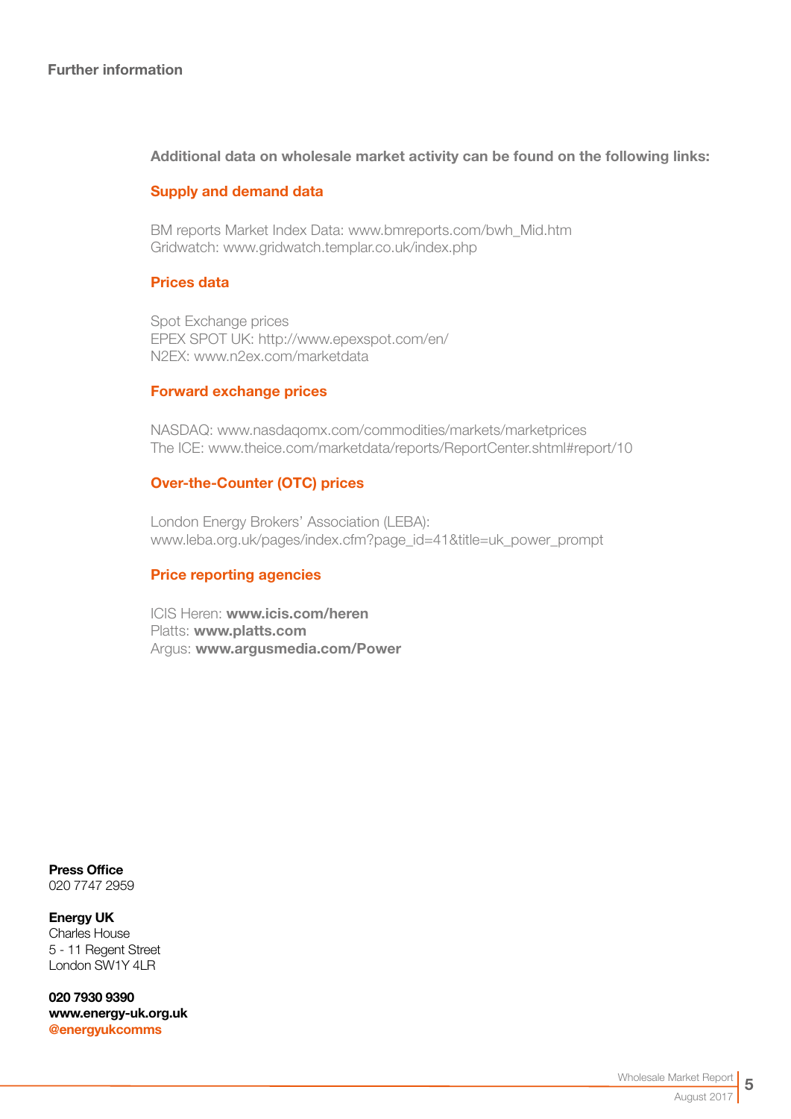#### Additional data on wholesale market activity can be found on the following links:

#### Supply and demand data

BM reports Market Index Data[: www.bmreports.com/bwh\\_Mid.htm](http://www.bmreports.com/bwh_Mid.htm)  Gridwatch[: www.gridwatch.templar.co.uk/index.php](http://www.gridwatch.templar.co.uk/index.php)

#### Prices data

Spot Exchange prices EPEX SPOT UK: http://www.epexspot.com/en/ N2EX: [www.n2ex.com/marketdata](http://www.nordpoolspot.com/Market-data1/N2EX/) 

#### Forward exchange prices

NASDAQ: [www.nasdaqomx.com/commodities/markets/marketprices](http://www.nasdaqomx.com/commodities/markets/marketprices )  The ICE: [www.theice.com/marketdata/reports/ReportCenter.shtml#report/10](http://www.theice.com/marketdata/reports/ReportCenter.shtml#report/10 )

#### Over-the-Counter (OTC) prices

London Energy Brokers' Association (LEBA): [www.leba.org.uk/pages/index.cfm?page\\_id=41&title=uk\\_power\\_prompt](http://www.leba.org.uk/pages/index.cfm?page_id=41&title=uk_power_prompt 
) 

### Price reporting agencies

ICIS Heren: [www.icis.com/heren](http://www.icis.com/heren)  Platts: [www.platts.com](http://www.platts.com/) Argus: [www.argusmedia.com/Power](http://www.argusmedia.com/Power)

Press Office 020 7747 2959

#### Energy UK Charles House 5 - 11 Regent Street London SW1Y 4LR

020 7930 9390 [www.energy-uk.org.uk](http://www.energy-uk.org.uk) [@energyukcomms](http://twitter.com/EnergyUKcomms)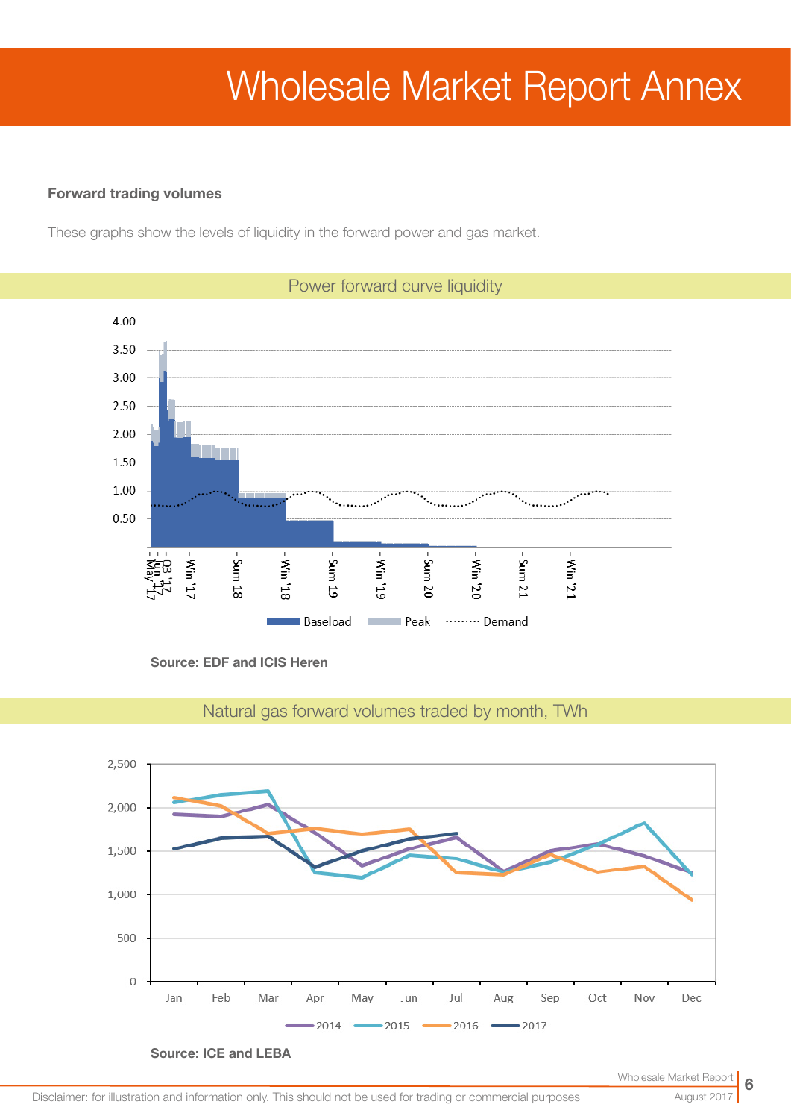# Wholesale Market Report Annex

#### Forward trading volumes

These graphs show the levels of liquidity in the forward power and gas market.



Source: EDF and ICIS Heren



Natural gas forward volumes traded by month, TWh

August 2017

6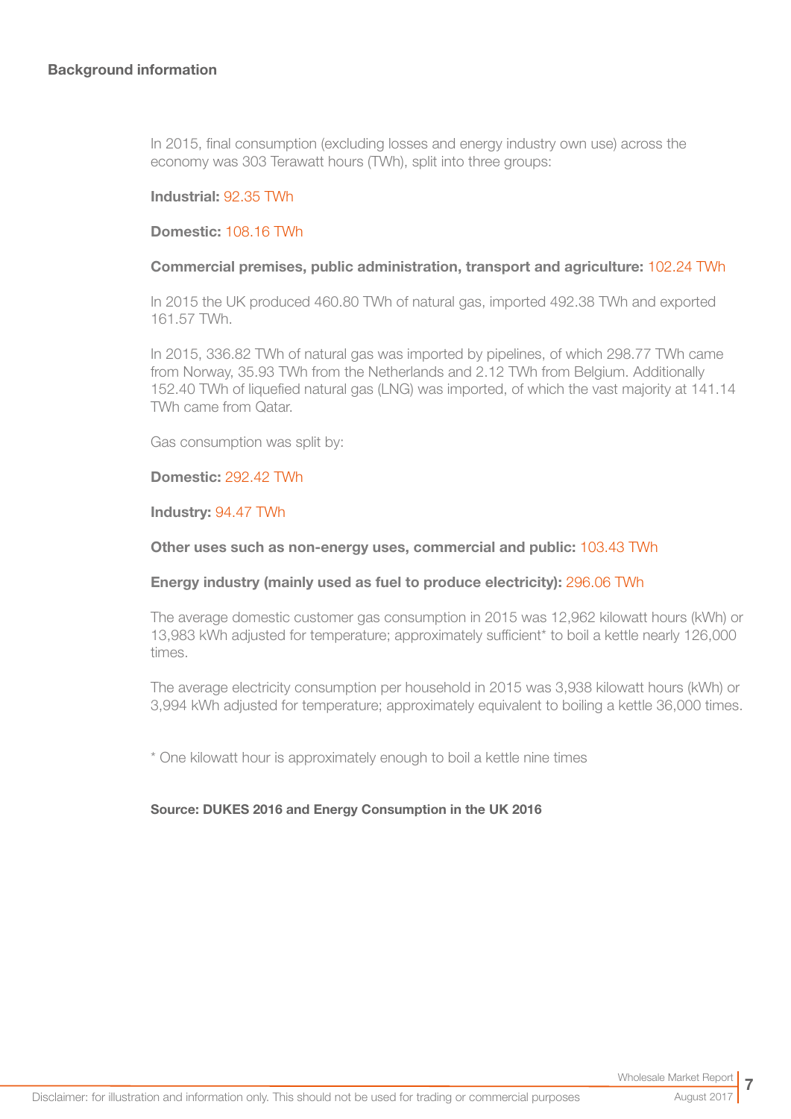In 2015, final consumption (excluding losses and energy industry own use) across the economy was 303 Terawatt hours (TWh), split into three groups:

#### Industrial: 92.35 TWh

#### Domestic: 108.16 TWh

#### Commercial premises, public administration, transport and agriculture: 102.24 TWh

In 2015 the UK produced 460.80 TWh of natural gas, imported 492.38 TWh and exported 161.57 TWh.

In 2015, 336.82 TWh of natural gas was imported by pipelines, of which 298.77 TWh came from Norway, 35.93 TWh from the Netherlands and 2.12 TWh from Belgium. Additionally 152.40 TWh of liquefied natural gas (LNG) was imported, of which the vast majority at 141.14 TWh came from Qatar.

Gas consumption was split by:

#### Domestic: 292.42 TWh

#### Industry: 94.47 TWh

#### Other uses such as non-energy uses, commercial and public: 103.43 TWh

#### Energy industry (mainly used as fuel to produce electricity): 296.06 TWh

The average domestic customer gas consumption in 2015 was 12,962 kilowatt hours (kWh) or 13,983 kWh adjusted for temperature; approximately sufficient\* to boil a kettle nearly 126,000 times.

The average electricity consumption per household in 2015 was 3,938 kilowatt hours (kWh) or 3,994 kWh adjusted for temperature; approximately equivalent to boiling a kettle 36,000 times.

\* One kilowatt hour is approximately enough to boil a kettle nine times

#### Source: DUKES 2016 and Energy Consumption in the UK 2016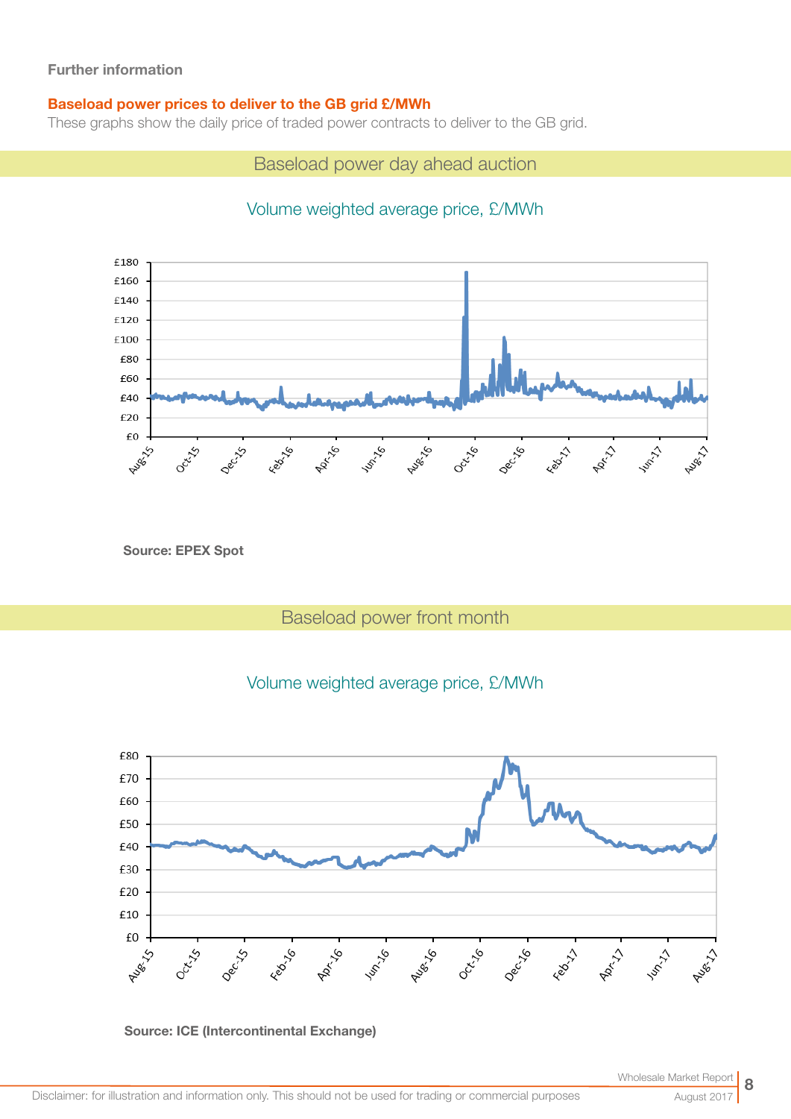#### Baseload power prices to deliver to the GB grid £/MWh

These graphs show the daily price of traded power contracts to deliver to the GB grid.

Baseload power day ahead auction

## Volume weighted average price, £/MWh



Source: EPEX Spot

## Baseload power front month







August 2017

8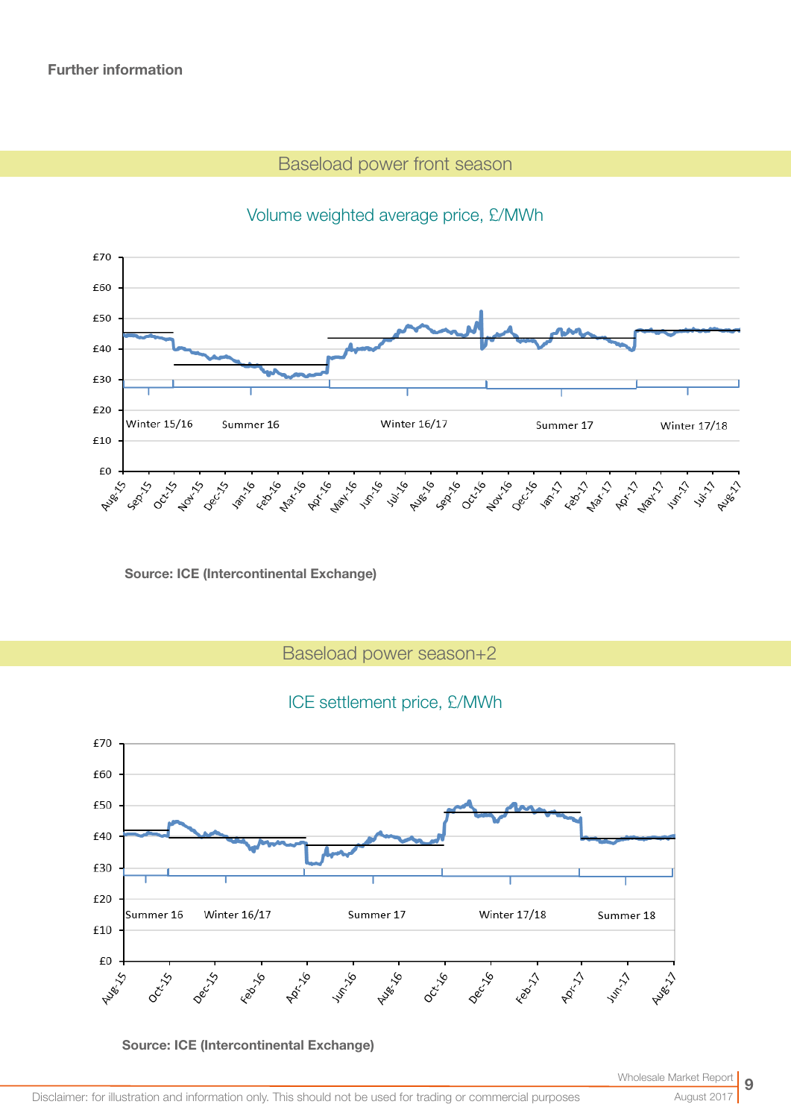## Baseload power front season

#### £70 £60 £50 £40 £30 £20 Winter 15/16 Summer 16 Winter 16/17 Summer 17 **Winter 17/18** £10 £0 Augéne **ARK-16 Pussive Process Max**ive Jun-16 July 16 Nov-15 Jan-16 Sep 15 Auge 13 Feb<sup>1</sup>y8-18 **Get of Lay of Get** Part of the Asian St. July 2

## Volume weighted average price, £/MWh

Source: ICE (Intercontinental Exchange)

Baseload power season+2

## ICE settlement price, £/MWh



Source: ICE (Intercontinental Exchange)

August 2017

9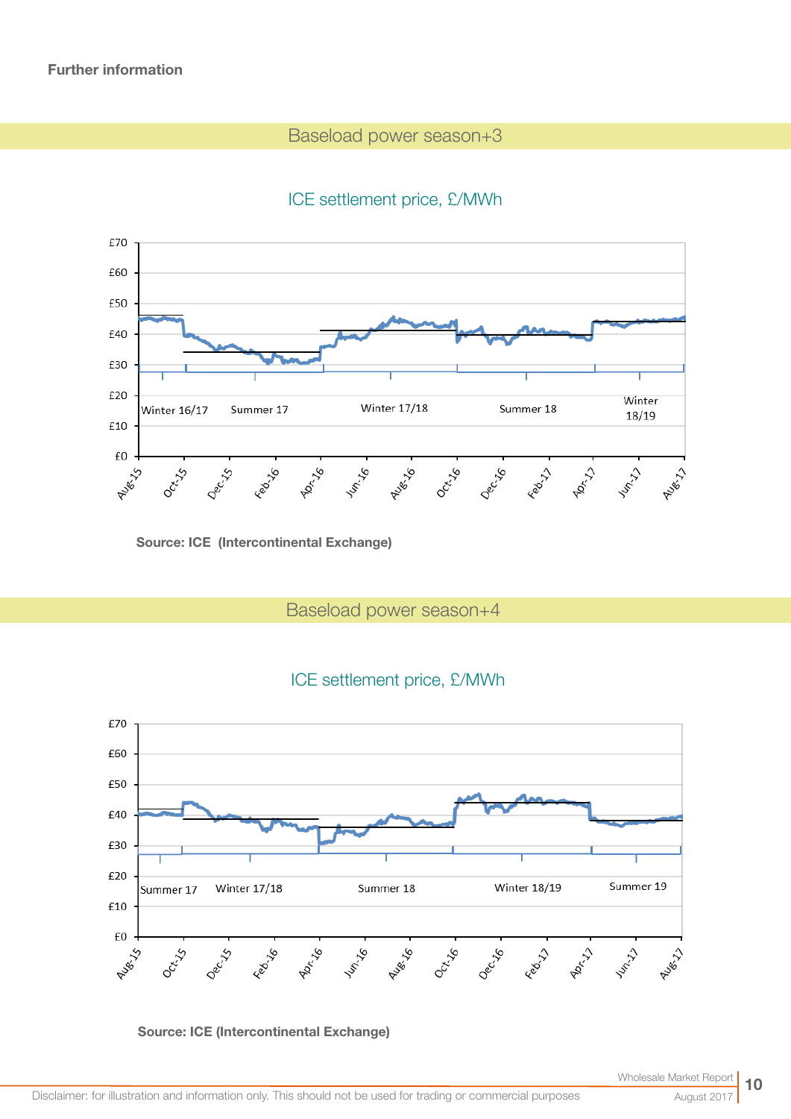## Baseload power season+3

## ICE settlement price, £/MWh



Source: ICE (Intercontinental Exchange)

Baseload power season+4





Source: ICE (Intercontinental Exchange)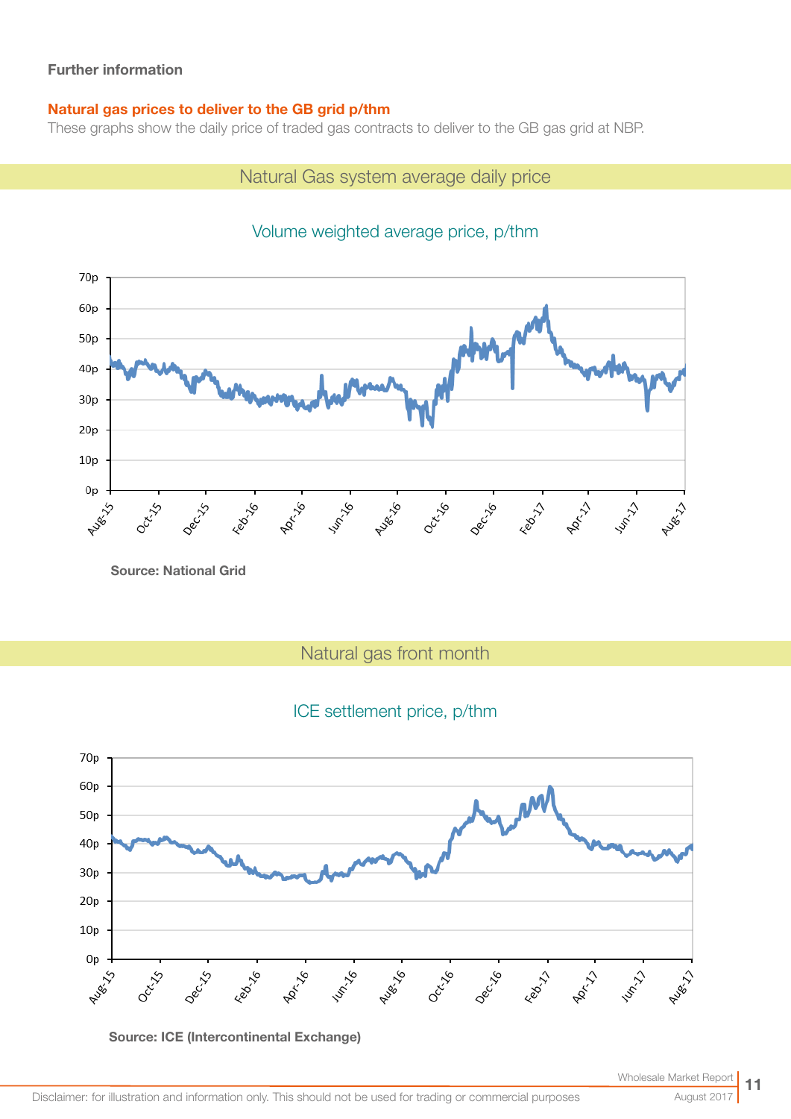### Natural gas prices to deliver to the GB grid p/thm

These graphs show the daily price of traded gas contracts to deliver to the GB gas grid at NBP.

## Natural Gas system average daily price



## Volume weighted average price, p/thm

Source: National Grid

Natural gas front month

## ICE settlement price, p/thm



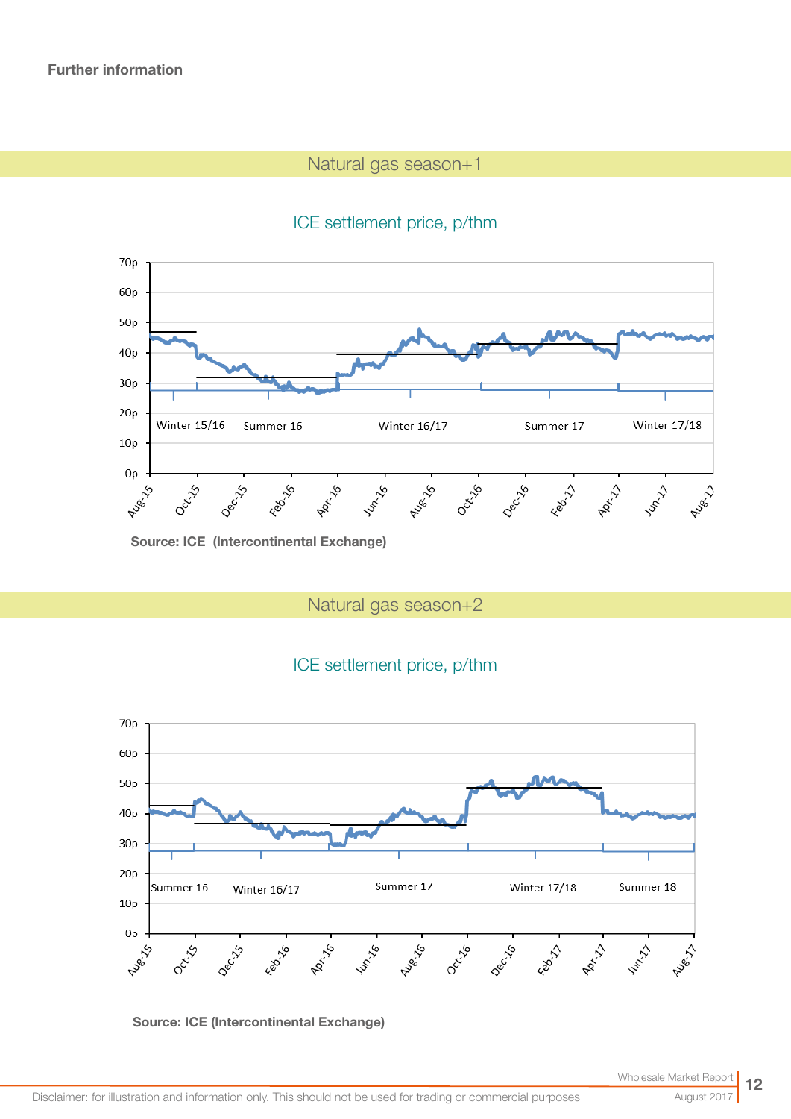## Natural gas season+1

## ICE settlement price, p/thm



Source: ICE (Intercontinental Exchange)

Natural gas season+2

## ICE settlement price, p/thm



#### Source: ICE (Intercontinental Exchange)